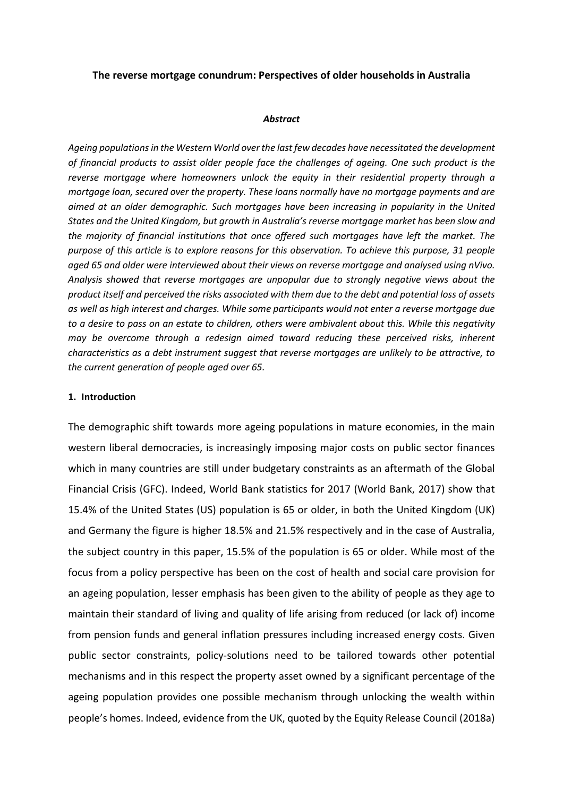### **The reverse mortgage conundrum: Perspectives of older households in Australia**

#### *Abstract*

*Ageing populations in the Western World over the last few decades have necessitated the development of financial products to assist older people face the challenges of ageing. One such product is the reverse mortgage where homeowners unlock the equity in their residential property through a mortgage loan, secured over the property. These loans normally have no mortgage payments and are aimed at an older demographic. Such mortgages have been increasing in popularity in the United States and the United Kingdom, but growth in Australia's reverse mortgage market has been slow and the majority of financial institutions that once offered such mortgages have left the market. The purpose of this article is to explore reasons for this observation. To achieve this purpose, 31 people aged 65 and older were interviewed about their views on reverse mortgage and analysed using nVivo. Analysis showed that reverse mortgages are unpopular due to strongly negative views about the product itself and perceived the risks associated with them due to the debt and potential loss of assets as well as high interest and charges. While some participants would not enter a reverse mortgage due to a desire to pass on an estate to children, others were ambivalent about this. While this negativity may be overcome through a redesign aimed toward reducing these perceived risks, inherent characteristics as a debt instrument suggest that reverse mortgages are unlikely to be attractive, to the current generation of people aged over 65.*

### **1. Introduction**

The demographic shift towards more ageing populations in mature economies, in the main western liberal democracies, is increasingly imposing major costs on public sector finances which in many countries are still under budgetary constraints as an aftermath of the Global Financial Crisis (GFC). Indeed, World Bank statistics for 2017 (World Bank, 2017) show that 15.4% of the United States (US) population is 65 or older, in both the United Kingdom (UK) and Germany the figure is higher 18.5% and 21.5% respectively and in the case of Australia, the subject country in this paper, 15.5% of the population is 65 or older. While most of the focus from a policy perspective has been on the cost of health and social care provision for an ageing population, lesser emphasis has been given to the ability of people as they age to maintain their standard of living and quality of life arising from reduced (or lack of) income from pension funds and general inflation pressures including increased energy costs. Given public sector constraints, policy-solutions need to be tailored towards other potential mechanisms and in this respect the property asset owned by a significant percentage of the ageing population provides one possible mechanism through unlocking the wealth within people's homes. Indeed, evidence from the UK, quoted by the Equity Release Council (2018a)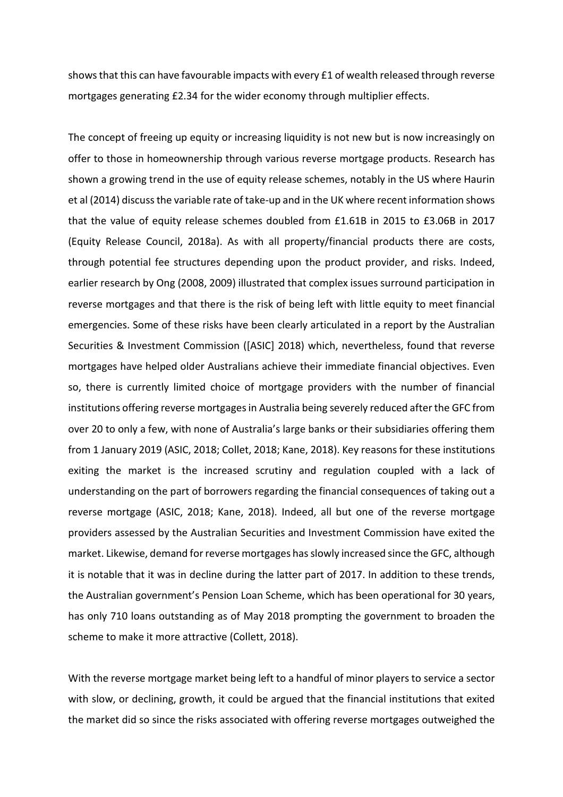shows that this can have favourable impacts with every £1 of wealth released through reverse mortgages generating £2.34 for the wider economy through multiplier effects.

The concept of freeing up equity or increasing liquidity is not new but is now increasingly on offer to those in homeownership through various reverse mortgage products. Research has shown a growing trend in the use of equity release schemes, notably in the US where Haurin et al (2014) discuss the variable rate of take-up and in the UK where recent information shows that the value of equity release schemes doubled from £1.61B in 2015 to £3.06B in 2017 (Equity Release Council, 2018a). As with all property/financial products there are costs, through potential fee structures depending upon the product provider, and risks. Indeed, earlier research by Ong (2008, 2009) illustrated that complex issues surround participation in reverse mortgages and that there is the risk of being left with little equity to meet financial emergencies. Some of these risks have been clearly articulated in a report by the Australian Securities & Investment Commission ([ASIC] 2018) which, nevertheless, found that reverse mortgages have helped older Australians achieve their immediate financial objectives. Even so, there is currently limited choice of mortgage providers with the number of financial institutions offering reverse mortgages in Australia being severely reduced after the GFC from over 20 to only a few, with none of Australia's large banks or their subsidiaries offering them from 1 January 2019 (ASIC, 2018; Collet, 2018; Kane, 2018). Key reasons for these institutions exiting the market is the increased scrutiny and regulation coupled with a lack of understanding on the part of borrowers regarding the financial consequences of taking out a reverse mortgage (ASIC, 2018; Kane, 2018). Indeed, all but one of the reverse mortgage providers assessed by the Australian Securities and Investment Commission have exited the market. Likewise, demand for reverse mortgages has slowly increased since the GFC, although it is notable that it was in decline during the latter part of 2017. In addition to these trends, the Australian government's Pension Loan Scheme, which has been operational for 30 years, has only 710 loans outstanding as of May 2018 prompting the government to broaden the scheme to make it more attractive (Collett, 2018).

With the reverse mortgage market being left to a handful of minor players to service a sector with slow, or declining, growth, it could be argued that the financial institutions that exited the market did so since the risks associated with offering reverse mortgages outweighed the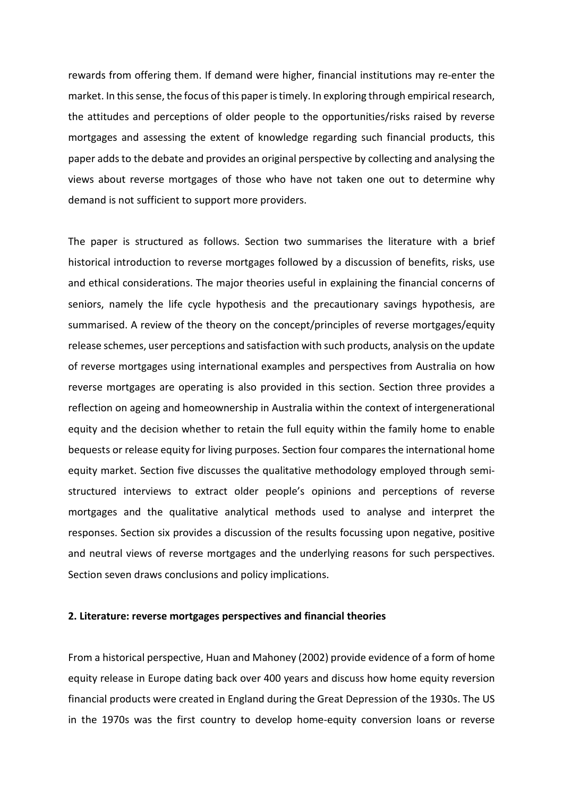rewards from offering them. If demand were higher, financial institutions may re-enter the market. In this sense, the focus of this paper is timely. In exploring through empirical research, the attitudes and perceptions of older people to the opportunities/risks raised by reverse mortgages and assessing the extent of knowledge regarding such financial products, this paper adds to the debate and provides an original perspective by collecting and analysing the views about reverse mortgages of those who have not taken one out to determine why demand is not sufficient to support more providers.

The paper is structured as follows. Section two summarises the literature with a brief historical introduction to reverse mortgages followed by a discussion of benefits, risks, use and ethical considerations. The major theories useful in explaining the financial concerns of seniors, namely the life cycle hypothesis and the precautionary savings hypothesis, are summarised. A review of the theory on the concept/principles of reverse mortgages/equity release schemes, user perceptions and satisfaction with such products, analysis on the update of reverse mortgages using international examples and perspectives from Australia on how reverse mortgages are operating is also provided in this section. Section three provides a reflection on ageing and homeownership in Australia within the context of intergenerational equity and the decision whether to retain the full equity within the family home to enable bequests or release equity for living purposes. Section four compares the international home equity market. Section five discusses the qualitative methodology employed through semistructured interviews to extract older people's opinions and perceptions of reverse mortgages and the qualitative analytical methods used to analyse and interpret the responses. Section six provides a discussion of the results focussing upon negative, positive and neutral views of reverse mortgages and the underlying reasons for such perspectives. Section seven draws conclusions and policy implications.

### **2. Literature: reverse mortgages perspectives and financial theories**

From a historical perspective, Huan and Mahoney (2002) provide evidence of a form of home equity release in Europe dating back over 400 years and discuss how home equity reversion financial products were created in England during the Great Depression of the 1930s. The US in the 1970s was the first country to develop home-equity conversion loans or reverse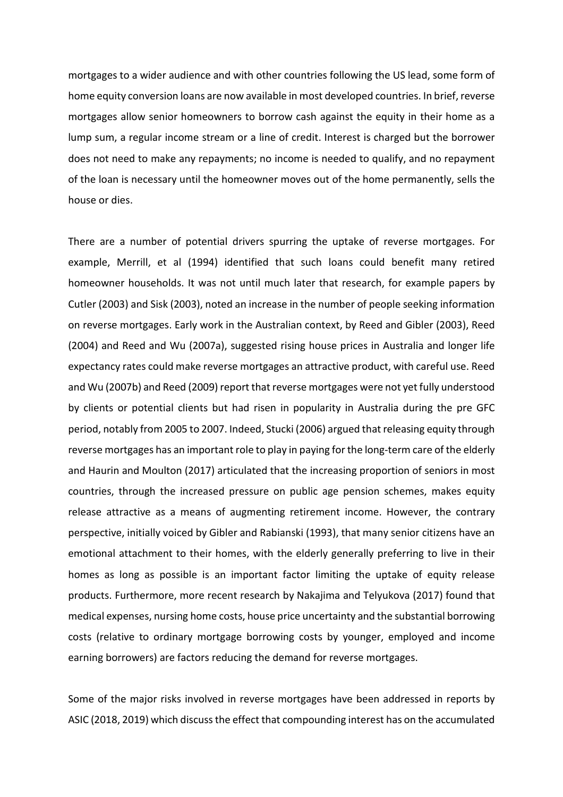mortgages to a wider audience and with other countries following the US lead, some form of home equity conversion loans are now available in most developed countries. In brief, reverse mortgages allow senior homeowners to borrow cash against the equity in their home as a lump sum, a regular income stream or a line of credit. Interest is charged but the borrower does not need to make any repayments; no income is needed to qualify, and no repayment of the loan is necessary until the homeowner moves out of the home permanently, sells the house or dies.

There are a number of potential drivers spurring the uptake of reverse mortgages. For example, Merrill, et al (1994) identified that such loans could benefit many retired homeowner households. It was not until much later that research, for example papers by Cutler (2003) and Sisk (2003), noted an increase in the number of people seeking information on reverse mortgages. Early work in the Australian context, by Reed and Gibler (2003), Reed (2004) and Reed and Wu (2007a), suggested rising house prices in Australia and longer life expectancy rates could make reverse mortgages an attractive product, with careful use. Reed and Wu (2007b) and Reed (2009) report that reverse mortgages were not yet fully understood by clients or potential clients but had risen in popularity in Australia during the pre GFC period, notably from 2005 to 2007. Indeed, Stucki (2006) argued that releasing equity through reverse mortgages has an important role to play in paying for the long-term care of the elderly and Haurin and Moulton (2017) articulated that the increasing proportion of seniors in most countries, through the increased pressure on public age pension schemes, makes equity release attractive as a means of augmenting retirement income. However, the contrary perspective, initially voiced by Gibler and Rabianski (1993), that many senior citizens have an emotional attachment to their homes, with the elderly generally preferring to live in their homes as long as possible is an important factor limiting the uptake of equity release products. Furthermore, more recent research by Nakajima and Telyukova (2017) found that medical expenses, nursing home costs, house price uncertainty and the substantial borrowing costs (relative to ordinary mortgage borrowing costs by younger, employed and income earning borrowers) are factors reducing the demand for reverse mortgages.

Some of the major risks involved in reverse mortgages have been addressed in reports by ASIC (2018, 2019) which discussthe effect that compounding interest has on the accumulated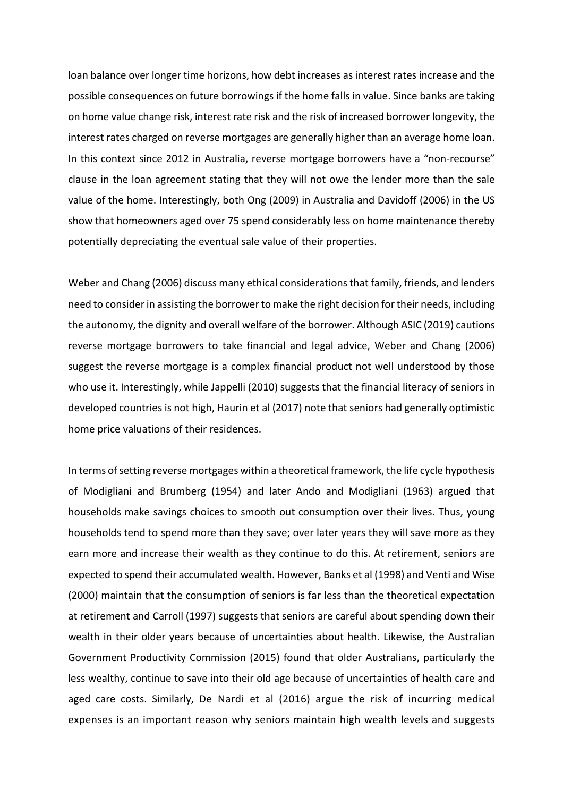loan balance over longer time horizons, how debt increases as interest rates increase and the possible consequences on future borrowings if the home falls in value. Since banks are taking on home value change risk, interest rate risk and the risk of increased borrower longevity, the interest rates charged on reverse mortgages are generally higher than an average home loan. In this context since 2012 in Australia, reverse mortgage borrowers have a "non-recourse" clause in the loan agreement stating that they will not owe the lender more than the sale value of the home. Interestingly, both Ong (2009) in Australia and Davidoff (2006) in the US show that homeowners aged over 75 spend considerably less on home maintenance thereby potentially depreciating the eventual sale value of their properties.

Weber and Chang (2006) discuss many ethical considerations that family, friends, and lenders need to consider in assisting the borrower to make the right decision for their needs, including the autonomy, the dignity and overall welfare of the borrower. Although ASIC (2019) cautions reverse mortgage borrowers to take financial and legal advice, Weber and Chang (2006) suggest the reverse mortgage is a complex financial product not well understood by those who use it. Interestingly, while Jappelli (2010) suggests that the financial literacy of seniors in developed countries is not high, Haurin et al (2017) note that seniors had generally optimistic home price valuations of their residences.

In terms of setting reverse mortgages within a theoretical framework, the life cycle hypothesis of Modigliani and Brumberg (1954) and later Ando and Modigliani (1963) argued that households make savings choices to smooth out consumption over their lives. Thus, young households tend to spend more than they save; over later years they will save more as they earn more and increase their wealth as they continue to do this. At retirement, seniors are expected to spend their accumulated wealth. However, Banks et al (1998) and Venti and Wise (2000) maintain that the consumption of seniors is far less than the theoretical expectation at retirement and Carroll (1997) suggests that seniors are careful about spending down their wealth in their older years because of uncertainties about health. Likewise, the Australian Government Productivity Commission (2015) found that older Australians, particularly the less wealthy, continue to save into their old age because of uncertainties of health care and aged care costs. Similarly, De Nardi et al (2016) argue the risk of incurring medical expenses is an important reason why seniors maintain high wealth levels and suggests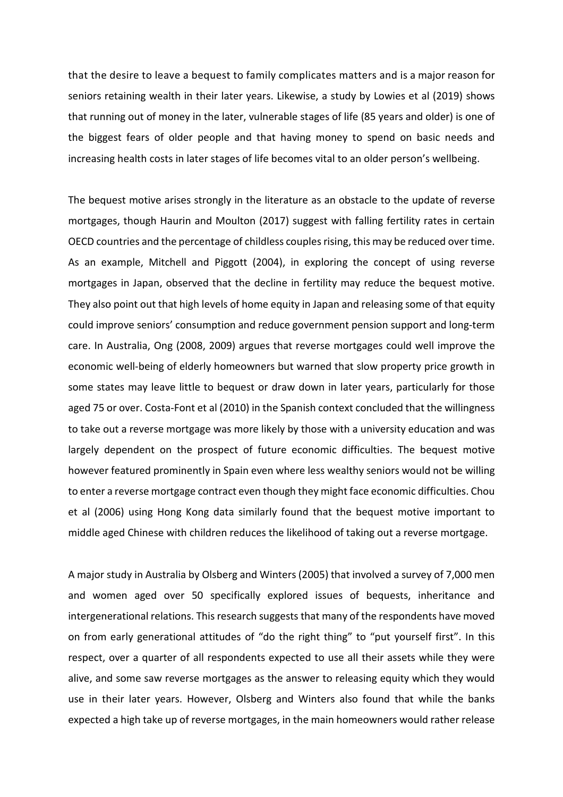that the desire to leave a bequest to family complicates matters and is a major reason for seniors retaining wealth in their later years. Likewise, a study by Lowies et al (2019) shows that running out of money in the later, vulnerable stages of life (85 years and older) is one of the biggest fears of older people and that having money to spend on basic needs and increasing health costs in later stages of life becomes vital to an older person's wellbeing.

The bequest motive arises strongly in the literature as an obstacle to the update of reverse mortgages, though Haurin and Moulton (2017) suggest with falling fertility rates in certain OECD countries and the percentage of childless couples rising, this may be reduced over time. As an example, Mitchell and Piggott (2004), in exploring the concept of using reverse mortgages in Japan, observed that the decline in fertility may reduce the bequest motive. They also point out that high levels of home equity in Japan and releasing some of that equity could improve seniors' consumption and reduce government pension support and long-term care. In Australia, Ong (2008, 2009) argues that reverse mortgages could well improve the economic well-being of elderly homeowners but warned that slow property price growth in some states may leave little to bequest or draw down in later years, particularly for those aged 75 or over. Costa-Font et al (2010) in the Spanish context concluded that the willingness to take out a reverse mortgage was more likely by those with a university education and was largely dependent on the prospect of future economic difficulties. The bequest motive however featured prominently in Spain even where less wealthy seniors would not be willing to enter a reverse mortgage contract even though they might face economic difficulties. Chou et al (2006) using Hong Kong data similarly found that the bequest motive important to middle aged Chinese with children reduces the likelihood of taking out a reverse mortgage.

A major study in Australia by Olsberg and Winters (2005) that involved a survey of 7,000 men and women aged over 50 specifically explored issues of bequests, inheritance and intergenerational relations. This research suggests that many of the respondents have moved on from early generational attitudes of "do the right thing" to "put yourself first". In this respect, over a quarter of all respondents expected to use all their assets while they were alive, and some saw reverse mortgages as the answer to releasing equity which they would use in their later years. However, Olsberg and Winters also found that while the banks expected a high take up of reverse mortgages, in the main homeowners would rather release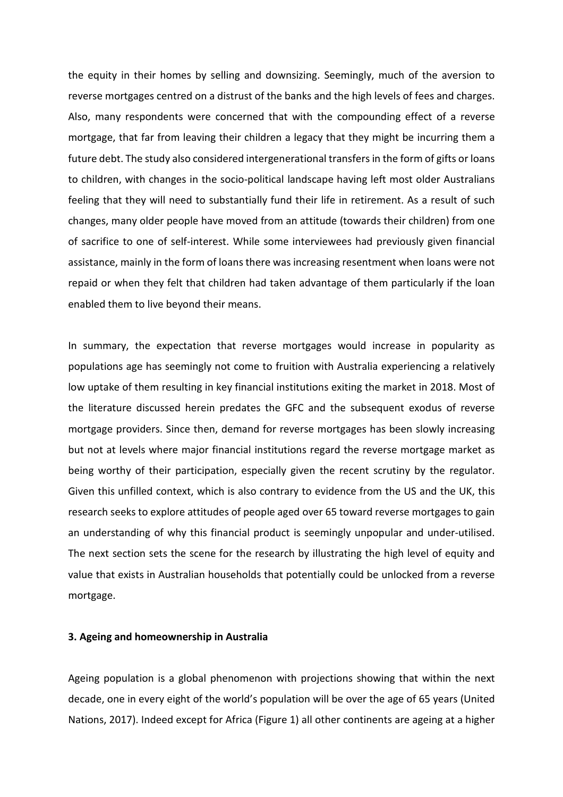the equity in their homes by selling and downsizing. Seemingly, much of the aversion to reverse mortgages centred on a distrust of the banks and the high levels of fees and charges. Also, many respondents were concerned that with the compounding effect of a reverse mortgage, that far from leaving their children a legacy that they might be incurring them a future debt. The study also considered intergenerational transfers in the form of gifts or loans to children, with changes in the socio-political landscape having left most older Australians feeling that they will need to substantially fund their life in retirement. As a result of such changes, many older people have moved from an attitude (towards their children) from one of sacrifice to one of self-interest. While some interviewees had previously given financial assistance, mainly in the form of loans there was increasing resentment when loans were not repaid or when they felt that children had taken advantage of them particularly if the loan enabled them to live beyond their means.

In summary, the expectation that reverse mortgages would increase in popularity as populations age has seemingly not come to fruition with Australia experiencing a relatively low uptake of them resulting in key financial institutions exiting the market in 2018. Most of the literature discussed herein predates the GFC and the subsequent exodus of reverse mortgage providers. Since then, demand for reverse mortgages has been slowly increasing but not at levels where major financial institutions regard the reverse mortgage market as being worthy of their participation, especially given the recent scrutiny by the regulator. Given this unfilled context, which is also contrary to evidence from the US and the UK, this research seeks to explore attitudes of people aged over 65 toward reverse mortgages to gain an understanding of why this financial product is seemingly unpopular and under-utilised. The next section sets the scene for the research by illustrating the high level of equity and value that exists in Australian households that potentially could be unlocked from a reverse mortgage.

### **3. Ageing and homeownership in Australia**

Ageing population is a global phenomenon with projections showing that within the next decade, one in every eight of the world's population will be over the age of 65 years (United Nations, 2017). Indeed except for Africa (Figure 1) all other continents are ageing at a higher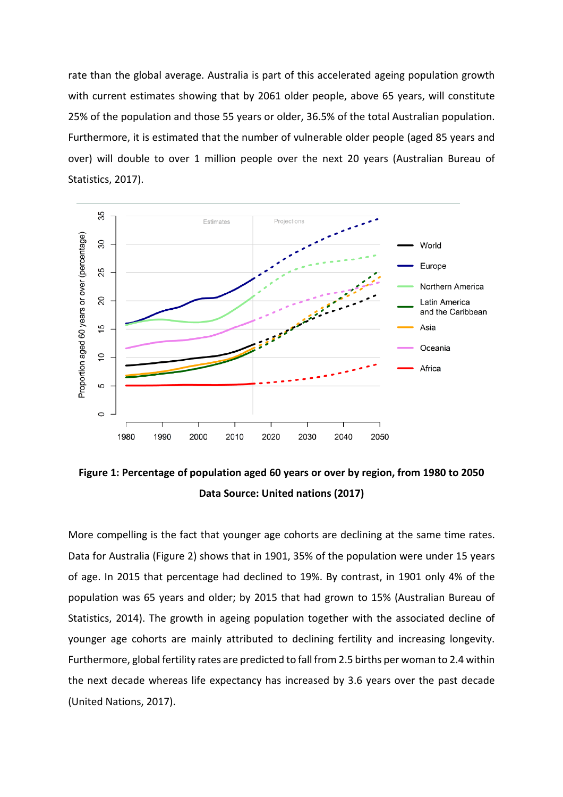rate than the global average. Australia is part of this accelerated ageing population growth with current estimates showing that by 2061 older people, above 65 years, will constitute 25% of the population and those 55 years or older, 36.5% of the total Australian population. Furthermore, it is estimated that the number of vulnerable older people (aged 85 years and over) will double to over 1 million people over the next 20 years (Australian Bureau of Statistics, 2017).



**Figure 1: Percentage of population aged 60 years or over by region, from 1980 to 2050 Data Source: United nations (2017)**

More compelling is the fact that younger age cohorts are declining at the same time rates. Data for Australia (Figure 2) shows that in 1901, 35% of the population were under 15 years of age. In 2015 that percentage had declined to 19%. By contrast, in 1901 only 4% of the population was 65 years and older; by 2015 that had grown to 15% (Australian Bureau of Statistics, 2014). The growth in ageing population together with the associated decline of younger age cohorts are mainly attributed to declining fertility and increasing longevity. Furthermore, global fertility rates are predicted to fall from 2.5 births per woman to 2.4 within the next decade whereas life expectancy has increased by 3.6 years over the past decade (United Nations, 2017).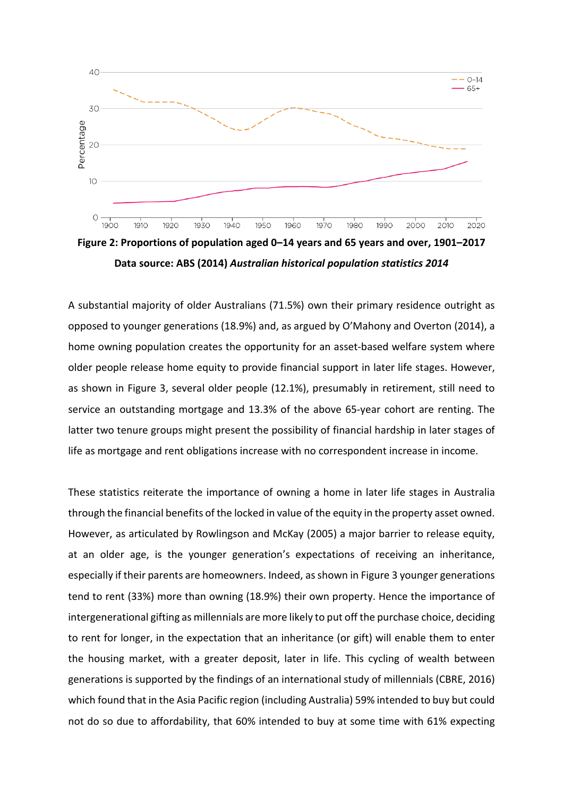

**Figure 2: Proportions of population aged 0–14 years and 65 years and over, 1901–2017 Data source: ABS (2014)** *Australian historical population statistics 2014*

A substantial majority of older Australians (71.5%) own their primary residence outright as opposed to younger generations (18.9%) and, as argued by O'Mahony and Overton (2014), a home owning population creates the opportunity for an asset-based welfare system where older people release home equity to provide financial support in later life stages. However, as shown in Figure 3, several older people (12.1%), presumably in retirement, still need to service an outstanding mortgage and 13.3% of the above 65-year cohort are renting. The latter two tenure groups might present the possibility of financial hardship in later stages of life as mortgage and rent obligations increase with no correspondent increase in income.

These statistics reiterate the importance of owning a home in later life stages in Australia through the financial benefits of the locked in value of the equity in the property asset owned. However, as articulated by Rowlingson and McKay (2005) a major barrier to release equity, at an older age, is the younger generation's expectations of receiving an inheritance, especially if their parents are homeowners. Indeed, asshown in Figure 3 younger generations tend to rent (33%) more than owning (18.9%) their own property. Hence the importance of intergenerational gifting as millennials are more likely to put off the purchase choice, deciding to rent for longer, in the expectation that an inheritance (or gift) will enable them to enter the housing market, with a greater deposit, later in life. This cycling of wealth between generations is supported by the findings of an international study of millennials (CBRE, 2016) which found that in the Asia Pacific region (including Australia) 59% intended to buy but could not do so due to affordability, that 60% intended to buy at some time with 61% expecting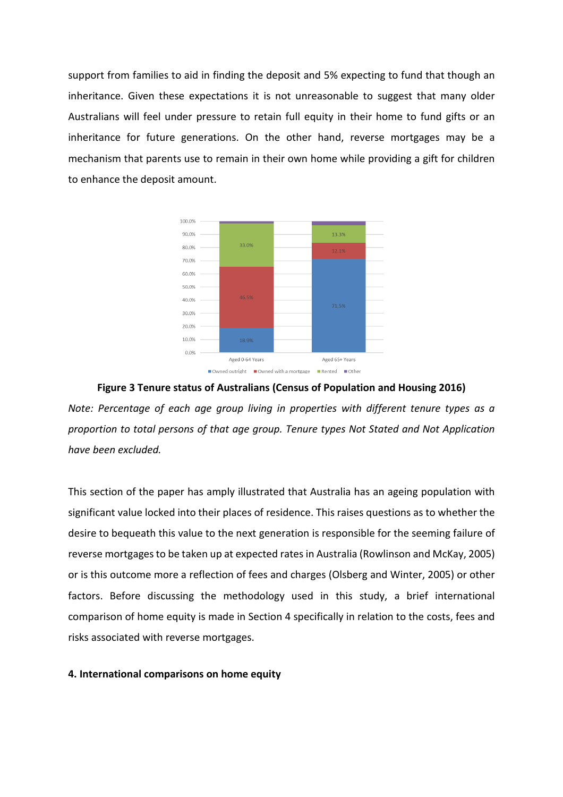support from families to aid in finding the deposit and 5% expecting to fund that though an inheritance. Given these expectations it is not unreasonable to suggest that many older Australians will feel under pressure to retain full equity in their home to fund gifts or an inheritance for future generations. On the other hand, reverse mortgages may be a mechanism that parents use to remain in their own home while providing a gift for children to enhance the deposit amount.



### **Figure 3 Tenure status of Australians (Census of Population and Housing 2016)**

*Note: Percentage of each age group living in properties with different tenure types as a proportion to total persons of that age group. Tenure types Not Stated and Not Application have been excluded.*

This section of the paper has amply illustrated that Australia has an ageing population with significant value locked into their places of residence. This raises questions as to whether the desire to bequeath this value to the next generation is responsible for the seeming failure of reverse mortgages to be taken up at expected rates in Australia (Rowlinson and McKay, 2005) or is this outcome more a reflection of fees and charges (Olsberg and Winter, 2005) or other factors. Before discussing the methodology used in this study, a brief international comparison of home equity is made in Section 4 specifically in relation to the costs, fees and risks associated with reverse mortgages.

### **4. International comparisons on home equity**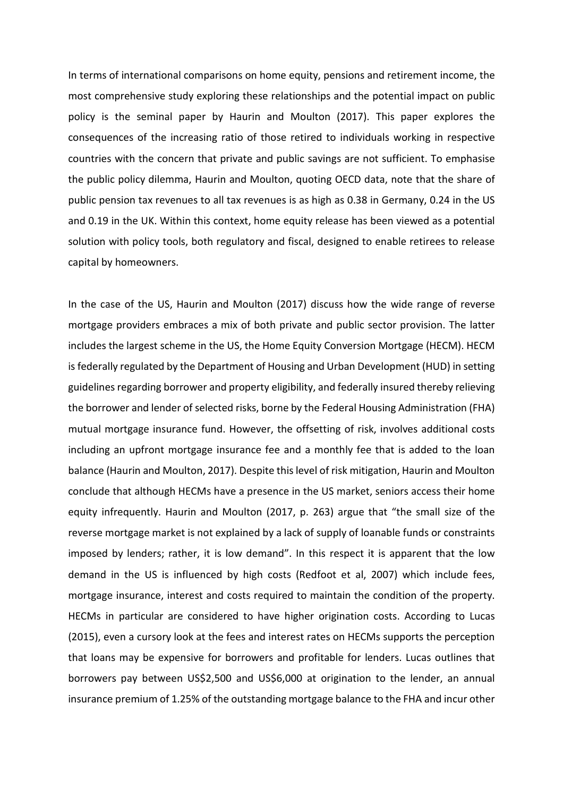In terms of international comparisons on home equity, pensions and retirement income, the most comprehensive study exploring these relationships and the potential impact on public policy is the seminal paper by Haurin and Moulton (2017). This paper explores the consequences of the increasing ratio of those retired to individuals working in respective countries with the concern that private and public savings are not sufficient. To emphasise the public policy dilemma, Haurin and Moulton, quoting OECD data, note that the share of public pension tax revenues to all tax revenues is as high as 0.38 in Germany, 0.24 in the US and 0.19 in the UK. Within this context, home equity release has been viewed as a potential solution with policy tools, both regulatory and fiscal, designed to enable retirees to release capital by homeowners.

In the case of the US, Haurin and Moulton (2017) discuss how the wide range of reverse mortgage providers embraces a mix of both private and public sector provision. The latter includes the largest scheme in the US, the Home Equity Conversion Mortgage (HECM). HECM is federally regulated by the Department of Housing and Urban Development (HUD) in setting guidelines regarding borrower and property eligibility, and federally insured thereby relieving the borrower and lender of selected risks, borne by the Federal Housing Administration (FHA) mutual mortgage insurance fund. However, the offsetting of risk, involves additional costs including an upfront mortgage insurance fee and a monthly fee that is added to the loan balance (Haurin and Moulton, 2017). Despite this level of risk mitigation, Haurin and Moulton conclude that although HECMs have a presence in the US market, seniors access their home equity infrequently. Haurin and Moulton (2017, p. 263) argue that "the small size of the reverse mortgage market is not explained by a lack of supply of loanable funds or constraints imposed by lenders; rather, it is low demand". In this respect it is apparent that the low demand in the US is influenced by high costs (Redfoot et al, 2007) which include fees, mortgage insurance, interest and costs required to maintain the condition of the property. HECMs in particular are considered to have higher origination costs. According to Lucas (2015), even a cursory look at the fees and interest rates on HECMs supports the perception that loans may be expensive for borrowers and profitable for lenders. Lucas outlines that borrowers pay between US\$2,500 and US\$6,000 at origination to the lender, an annual insurance premium of 1.25% of the outstanding mortgage balance to the FHA and incur other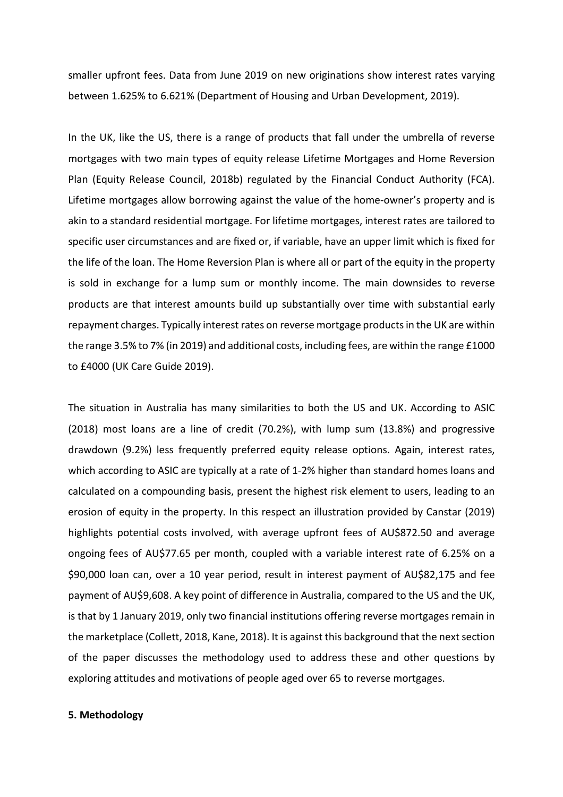smaller upfront fees. Data from June 2019 on new originations show interest rates varying between 1.625% to 6.621% (Department of Housing and Urban Development, 2019).

In the UK, like the US, there is a range of products that fall under the umbrella of reverse mortgages with two main types of equity release Lifetime Mortgages and Home Reversion Plan (Equity Release Council, 2018b) regulated by the Financial Conduct Authority (FCA). Lifetime mortgages allow borrowing against the value of the home-owner's property and is akin to a standard residential mortgage. For lifetime mortgages, interest rates are tailored to specific user circumstances and are fixed or, if variable, have an upper limit which is fixed for the life of the loan. The Home Reversion Plan is where all or part of the equity in the property is sold in exchange for a lump sum or monthly income. The main downsides to reverse products are that interest amounts build up substantially over time with substantial early repayment charges. Typically interest rates on reverse mortgage products in the UK are within the range 3.5% to 7% (in 2019) and additional costs, including fees, are within the range £1000 to £4000 (UK Care Guide 2019).

The situation in Australia has many similarities to both the US and UK. According to ASIC (2018) most loans are a line of credit (70.2%), with lump sum (13.8%) and progressive drawdown (9.2%) less frequently preferred equity release options. Again, interest rates, which according to ASIC are typically at a rate of 1-2% higher than standard homes loans and calculated on a compounding basis, present the highest risk element to users, leading to an erosion of equity in the property. In this respect an illustration provided by Canstar (2019) highlights potential costs involved, with average upfront fees of AU\$872.50 and average ongoing fees of AU\$77.65 per month, coupled with a variable interest rate of 6.25% on a \$90,000 loan can, over a 10 year period, result in interest payment of AU\$82,175 and fee payment of AU\$9,608. A key point of difference in Australia, compared to the US and the UK, is that by 1 January 2019, only two financial institutions offering reverse mortgages remain in the marketplace (Collett, 2018, Kane, 2018). It is against this background that the next section of the paper discusses the methodology used to address these and other questions by exploring attitudes and motivations of people aged over 65 to reverse mortgages.

### **5. Methodology**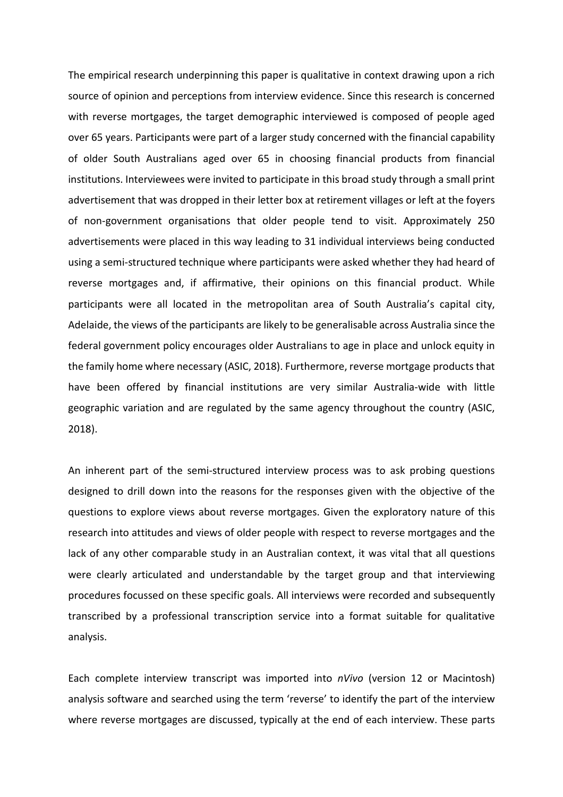The empirical research underpinning this paper is qualitative in context drawing upon a rich source of opinion and perceptions from interview evidence. Since this research is concerned with reverse mortgages, the target demographic interviewed is composed of people aged over 65 years. Participants were part of a larger study concerned with the financial capability of older South Australians aged over 65 in choosing financial products from financial institutions. Interviewees were invited to participate in this broad study through a small print advertisement that was dropped in their letter box at retirement villages or left at the foyers of non-government organisations that older people tend to visit. Approximately 250 advertisements were placed in this way leading to 31 individual interviews being conducted using a semi-structured technique where participants were asked whether they had heard of reverse mortgages and, if affirmative, their opinions on this financial product. While participants were all located in the metropolitan area of South Australia's capital city, Adelaide, the views of the participants are likely to be generalisable across Australia since the federal government policy encourages older Australians to age in place and unlock equity in the family home where necessary (ASIC, 2018). Furthermore, reverse mortgage products that have been offered by financial institutions are very similar Australia-wide with little geographic variation and are regulated by the same agency throughout the country (ASIC, 2018).

An inherent part of the semi-structured interview process was to ask probing questions designed to drill down into the reasons for the responses given with the objective of the questions to explore views about reverse mortgages. Given the exploratory nature of this research into attitudes and views of older people with respect to reverse mortgages and the lack of any other comparable study in an Australian context, it was vital that all questions were clearly articulated and understandable by the target group and that interviewing procedures focussed on these specific goals. All interviews were recorded and subsequently transcribed by a professional transcription service into a format suitable for qualitative analysis.

Each complete interview transcript was imported into *nVivo* (version 12 or Macintosh) analysis software and searched using the term 'reverse' to identify the part of the interview where reverse mortgages are discussed, typically at the end of each interview. These parts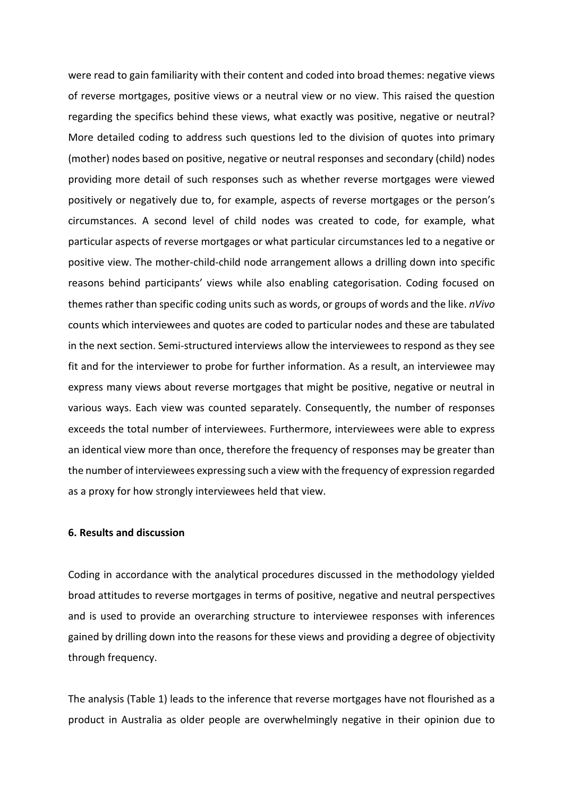were read to gain familiarity with their content and coded into broad themes: negative views of reverse mortgages, positive views or a neutral view or no view. This raised the question regarding the specifics behind these views, what exactly was positive, negative or neutral? More detailed coding to address such questions led to the division of quotes into primary (mother) nodes based on positive, negative or neutral responses and secondary (child) nodes providing more detail of such responses such as whether reverse mortgages were viewed positively or negatively due to, for example, aspects of reverse mortgages or the person's circumstances. A second level of child nodes was created to code, for example, what particular aspects of reverse mortgages or what particular circumstances led to a negative or positive view. The mother-child-child node arrangement allows a drilling down into specific reasons behind participants' views while also enabling categorisation. Coding focused on themes rather than specific coding units such as words, or groups of words and the like. *nVivo* counts which interviewees and quotes are coded to particular nodes and these are tabulated in the next section. Semi-structured interviews allow the interviewees to respond as they see fit and for the interviewer to probe for further information. As a result, an interviewee may express many views about reverse mortgages that might be positive, negative or neutral in various ways. Each view was counted separately. Consequently, the number of responses exceeds the total number of interviewees. Furthermore, interviewees were able to express an identical view more than once, therefore the frequency of responses may be greater than the number of interviewees expressing such a view with the frequency of expression regarded as a proxy for how strongly interviewees held that view.

## **6. Results and discussion**

Coding in accordance with the analytical procedures discussed in the methodology yielded broad attitudes to reverse mortgages in terms of positive, negative and neutral perspectives and is used to provide an overarching structure to interviewee responses with inferences gained by drilling down into the reasons for these views and providing a degree of objectivity through frequency.

The analysis (Table 1) leads to the inference that reverse mortgages have not flourished as a product in Australia as older people are overwhelmingly negative in their opinion due to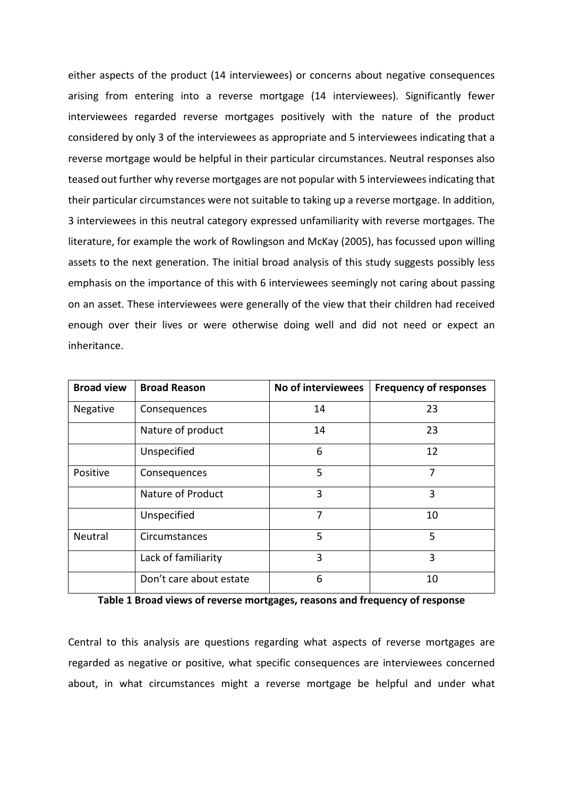either aspects of the product (14 interviewees) or concerns about negative consequences arising from entering into a reverse mortgage (14 interviewees). Significantly fewer interviewees regarded reverse mortgages positively with the nature of the product considered by only 3 of the interviewees as appropriate and 5 interviewees indicating that a reverse mortgage would be helpful in their particular circumstances. Neutral responses also teased out further why reverse mortgages are not popular with 5 interviewees indicating that their particular circumstances were not suitable to taking up a reverse mortgage. In addition, 3 interviewees in this neutral category expressed unfamiliarity with reverse mortgages. The literature, for example the work of Rowlingson and McKay (2005), has focussed upon willing assets to the next generation. The initial broad analysis of this study suggests possibly less emphasis on the importance of this with 6 interviewees seemingly not caring about passing on an asset. These interviewees were generally of the view that their children had received enough over their lives or were otherwise doing well and did not need or expect an inheritance.

| <b>Broad view</b> | <b>Broad Reason</b>     | No of interviewees | <b>Frequency of responses</b> |
|-------------------|-------------------------|--------------------|-------------------------------|
| Negative          | Consequences            | 14                 | 23                            |
|                   | Nature of product       | 14                 | 23                            |
|                   | Unspecified             | 6                  | 12                            |
| Positive          | Consequences            | 5                  | 7                             |
|                   | Nature of Product       | 3                  | 3                             |
|                   | Unspecified             | 7                  | 10                            |
| Neutral           | Circumstances           | 5                  | 5                             |
|                   | Lack of familiarity     | 3                  | 3                             |
|                   | Don't care about estate | 6                  | 10                            |

**Table 1 Broad views of reverse mortgages, reasons and frequency of response**

Central to this analysis are questions regarding what aspects of reverse mortgages are regarded as negative or positive, what specific consequences are interviewees concerned about, in what circumstances might a reverse mortgage be helpful and under what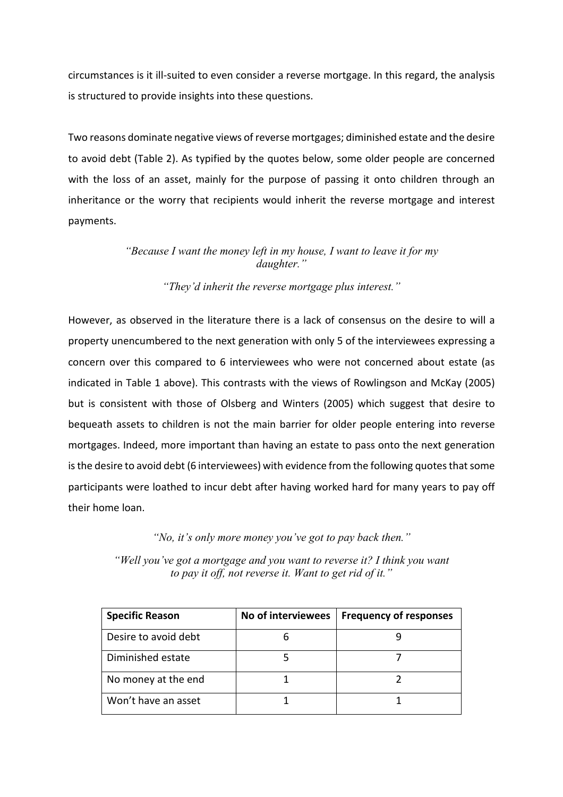circumstances is it ill-suited to even consider a reverse mortgage. In this regard, the analysis is structured to provide insights into these questions.

Two reasons dominate negative views of reverse mortgages; diminished estate and the desire to avoid debt (Table 2). As typified by the quotes below, some older people are concerned with the loss of an asset, mainly for the purpose of passing it onto children through an inheritance or the worry that recipients would inherit the reverse mortgage and interest payments.

# *"Because I want the money left in my house, I want to leave it for my daughter."*

# *"They'd inherit the reverse mortgage plus interest."*

However, as observed in the literature there is a lack of consensus on the desire to will a property unencumbered to the next generation with only 5 of the interviewees expressing a concern over this compared to 6 interviewees who were not concerned about estate (as indicated in Table 1 above). This contrasts with the views of Rowlingson and McKay (2005) but is consistent with those of Olsberg and Winters (2005) which suggest that desire to bequeath assets to children is not the main barrier for older people entering into reverse mortgages. Indeed, more important than having an estate to pass onto the next generation is the desire to avoid debt (6 interviewees) with evidence from the following quotes that some participants were loathed to incur debt after having worked hard for many years to pay off their home loan.

*"No, it's only more money you've got to pay back then."*

*"Well you've got a mortgage and you want to reverse it? I think you want to pay it off, not reverse it. Want to get rid of it."*

| <b>Specific Reason</b> | No of interviewees | <b>Frequency of responses</b> |
|------------------------|--------------------|-------------------------------|
| Desire to avoid debt   | h                  |                               |
| Diminished estate      |                    |                               |
| No money at the end    |                    |                               |
| Won't have an asset    |                    |                               |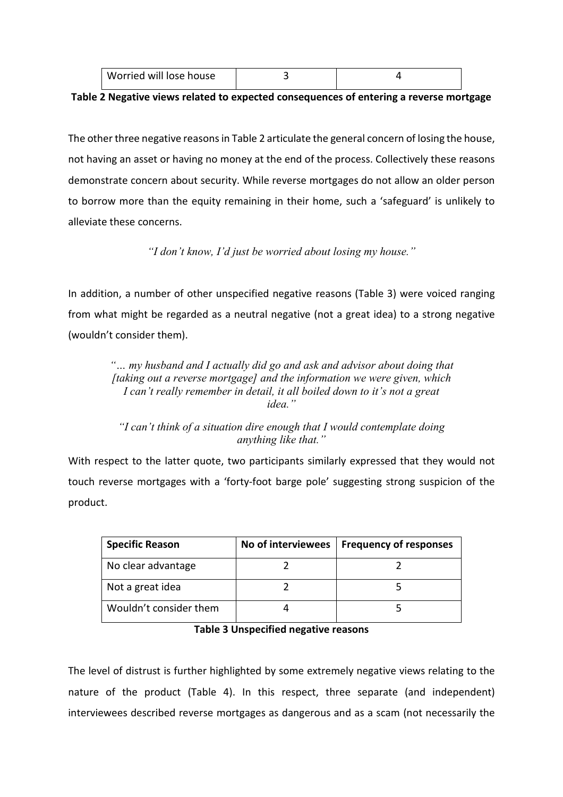| Worried will lose house |  |
|-------------------------|--|
|                         |  |

## **Table 2 Negative views related to expected consequences of entering a reverse mortgage**

The other three negative reasons in Table 2 articulate the general concern of losing the house, not having an asset or having no money at the end of the process. Collectively these reasons demonstrate concern about security. While reverse mortgages do not allow an older person to borrow more than the equity remaining in their home, such a 'safeguard' is unlikely to alleviate these concerns.

*"I don't know, I'd just be worried about losing my house."*

In addition, a number of other unspecified negative reasons (Table 3) were voiced ranging from what might be regarded as a neutral negative (not a great idea) to a strong negative (wouldn't consider them).

*"… my husband and I actually did go and ask and advisor about doing that [taking out a reverse mortgage] and the information we were given, which I can't really remember in detail, it all boiled down to it's not a great idea."*

*"I can't think of a situation dire enough that I would contemplate doing anything like that."*

With respect to the latter quote, two participants similarly expressed that they would not touch reverse mortgages with a 'forty-foot barge pole' suggesting strong suspicion of the product.

| <b>Specific Reason</b> | No of interviewees | <b>Frequency of responses</b> |
|------------------------|--------------------|-------------------------------|
| No clear advantage     |                    |                               |
| Not a great idea       |                    |                               |
| Wouldn't consider them |                    |                               |

### **Table 3 Unspecified negative reasons**

The level of distrust is further highlighted by some extremely negative views relating to the nature of the product (Table 4). In this respect, three separate (and independent) interviewees described reverse mortgages as dangerous and as a scam (not necessarily the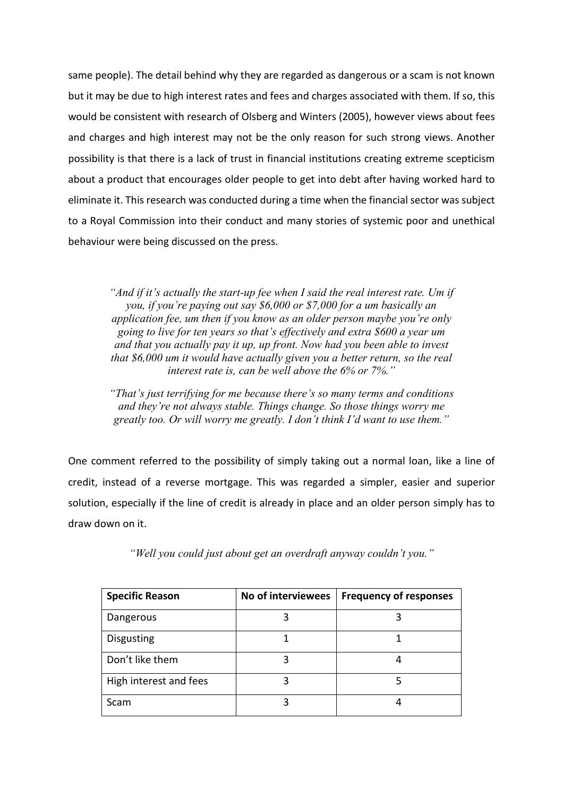same people). The detail behind why they are regarded as dangerous or a scam is not known but it may be due to high interest rates and fees and charges associated with them. If so, this would be consistent with research of Olsberg and Winters (2005), however views about fees and charges and high interest may not be the only reason for such strong views. Another possibility is that there is a lack of trust in financial institutions creating extreme scepticism about a product that encourages older people to get into debt after having worked hard to eliminate it. This research was conducted during a time when the financial sector was subject to a Royal Commission into their conduct and many stories of systemic poor and unethical behaviour were being discussed on the press.

*"And if it's actually the start-up fee when I said the real interest rate. Um if you, if you're paying out say \$6,000 or \$7,000 for a um basically an application fee, um then if you know as an older person maybe you're only going to live for ten years so that's effectively and extra \$600 a year um and that you actually pay it up, up front. Now had you been able to invest that \$6,000 um it would have actually given you a better return, so the real interest rate is, can be well above the 6% or 7%."*

*"That's just terrifying for me because there's so many terms and conditions and they're not always stable. Things change. So those things worry me greatly too. Or will worry me greatly. I don't think I'd want to use them."*

One comment referred to the possibility of simply taking out a normal loan, like a line of credit, instead of a reverse mortgage. This was regarded a simpler, easier and superior solution, especially if the line of credit is already in place and an older person simply has to draw down on it.

| <b>Specific Reason</b> | No of interviewees | <b>Frequency of responses</b> |
|------------------------|--------------------|-------------------------------|
| Dangerous              |                    |                               |
| <b>Disgusting</b>      |                    |                               |
| Don't like them        |                    |                               |
| High interest and fees |                    |                               |
| Scam                   |                    |                               |

*"Well you could just about get an overdraft anyway couldn't you."*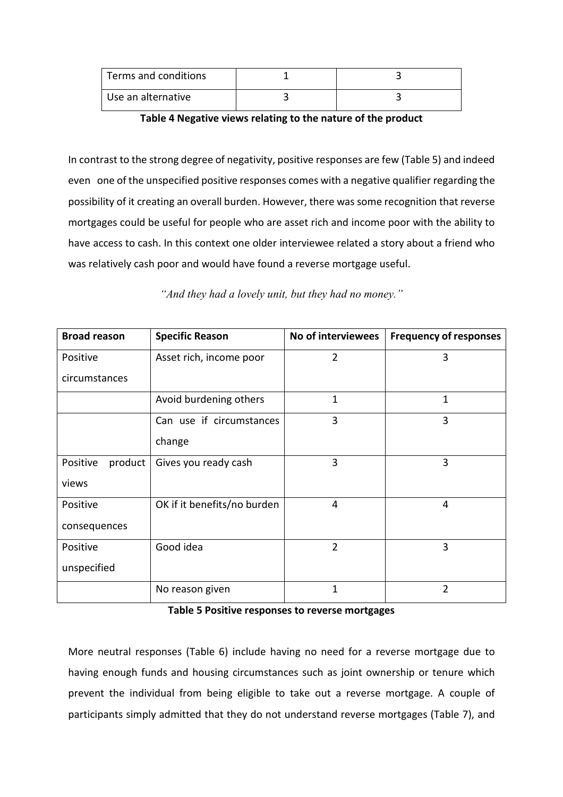| Terms and conditions |  |
|----------------------|--|
| Use an alternative   |  |

**Table 4 Negative views relating to the nature of the product**

In contrast to the strong degree of negativity, positive responses are few (Table 5) and indeed even one of the unspecified positive responses comes with a negative qualifier regarding the possibility of it creating an overall burden. However, there was some recognition that reverse mortgages could be useful for people who are asset rich and income poor with the ability to have access to cash. In this context one older interviewee related a story about a friend who was relatively cash poor and would have found a reverse mortgage useful.

| <b>Broad reason</b> | <b>Specific Reason</b>      | No of interviewees | <b>Frequency of responses</b> |
|---------------------|-----------------------------|--------------------|-------------------------------|
| Positive            | Asset rich, income poor     | $\overline{2}$     | 3                             |
| circumstances       |                             |                    |                               |
|                     | Avoid burdening others      | $\mathbf{1}$       | 1                             |
|                     | Can use if circumstances    | 3                  | 3                             |
|                     | change                      |                    |                               |
| product<br>Positive | Gives you ready cash        | 3                  | 3                             |
| views               |                             |                    |                               |
| Positive            | OK if it benefits/no burden | 4                  | 4                             |
| consequences        |                             |                    |                               |
| Positive            | Good idea                   | $\overline{2}$     | 3                             |
| unspecified         |                             |                    |                               |
|                     | No reason given             | 1                  | 2                             |

*"And they had a lovely unit, but they had no money."*

**Table 5 Positive responses to reverse mortgages**

More neutral responses (Table 6) include having no need for a reverse mortgage due to having enough funds and housing circumstances such as joint ownership or tenure which prevent the individual from being eligible to take out a reverse mortgage. A couple of participants simply admitted that they do not understand reverse mortgages (Table 7), and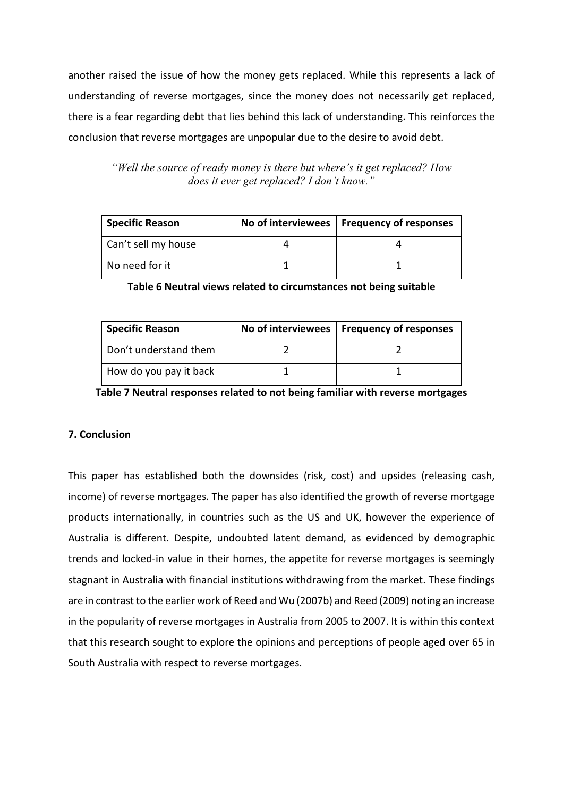another raised the issue of how the money gets replaced. While this represents a lack of understanding of reverse mortgages, since the money does not necessarily get replaced, there is a fear regarding debt that lies behind this lack of understanding. This reinforces the conclusion that reverse mortgages are unpopular due to the desire to avoid debt.

*"Well the source of ready money is there but where's it get replaced? How does it ever get replaced? I don't know."*

| <b>Specific Reason</b> | No of interviewees   Frequency of responses |
|------------------------|---------------------------------------------|
| Can't sell my house    |                                             |
| No need for it         |                                             |

**Table 6 Neutral views related to circumstances not being suitable**

| <b>Specific Reason</b> | No of interviewees   Frequency of responses |
|------------------------|---------------------------------------------|
| Don't understand them  |                                             |
| How do you pay it back |                                             |

**Table 7 Neutral responses related to not being familiar with reverse mortgages**

# **7. Conclusion**

This paper has established both the downsides (risk, cost) and upsides (releasing cash, income) of reverse mortgages. The paper has also identified the growth of reverse mortgage products internationally, in countries such as the US and UK, however the experience of Australia is different. Despite, undoubted latent demand, as evidenced by demographic trends and locked-in value in their homes, the appetite for reverse mortgages is seemingly stagnant in Australia with financial institutions withdrawing from the market. These findings are in contrast to the earlier work of Reed and Wu (2007b) and Reed (2009) noting an increase in the popularity of reverse mortgages in Australia from 2005 to 2007. It is within this context that this research sought to explore the opinions and perceptions of people aged over 65 in South Australia with respect to reverse mortgages.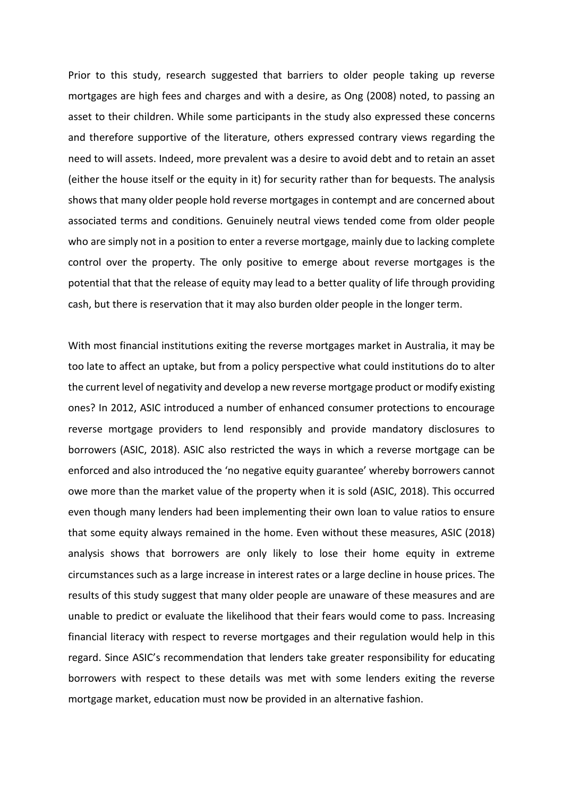Prior to this study, research suggested that barriers to older people taking up reverse mortgages are high fees and charges and with a desire, as Ong (2008) noted, to passing an asset to their children. While some participants in the study also expressed these concerns and therefore supportive of the literature, others expressed contrary views regarding the need to will assets. Indeed, more prevalent was a desire to avoid debt and to retain an asset (either the house itself or the equity in it) for security rather than for bequests. The analysis shows that many older people hold reverse mortgages in contempt and are concerned about associated terms and conditions. Genuinely neutral views tended come from older people who are simply not in a position to enter a reverse mortgage, mainly due to lacking complete control over the property. The only positive to emerge about reverse mortgages is the potential that that the release of equity may lead to a better quality of life through providing cash, but there is reservation that it may also burden older people in the longer term.

With most financial institutions exiting the reverse mortgages market in Australia, it may be too late to affect an uptake, but from a policy perspective what could institutions do to alter the current level of negativity and develop a new reverse mortgage product or modify existing ones? In 2012, ASIC introduced a number of enhanced consumer protections to encourage reverse mortgage providers to lend responsibly and provide mandatory disclosures to borrowers (ASIC, 2018). ASIC also restricted the ways in which a reverse mortgage can be enforced and also introduced the 'no negative equity guarantee' whereby borrowers cannot owe more than the market value of the property when it is sold (ASIC, 2018). This occurred even though many lenders had been implementing their own loan to value ratios to ensure that some equity always remained in the home. Even without these measures, ASIC (2018) analysis shows that borrowers are only likely to lose their home equity in extreme circumstances such as a large increase in interest rates or a large decline in house prices. The results of this study suggest that many older people are unaware of these measures and are unable to predict or evaluate the likelihood that their fears would come to pass. Increasing financial literacy with respect to reverse mortgages and their regulation would help in this regard. Since ASIC's recommendation that lenders take greater responsibility for educating borrowers with respect to these details was met with some lenders exiting the reverse mortgage market, education must now be provided in an alternative fashion.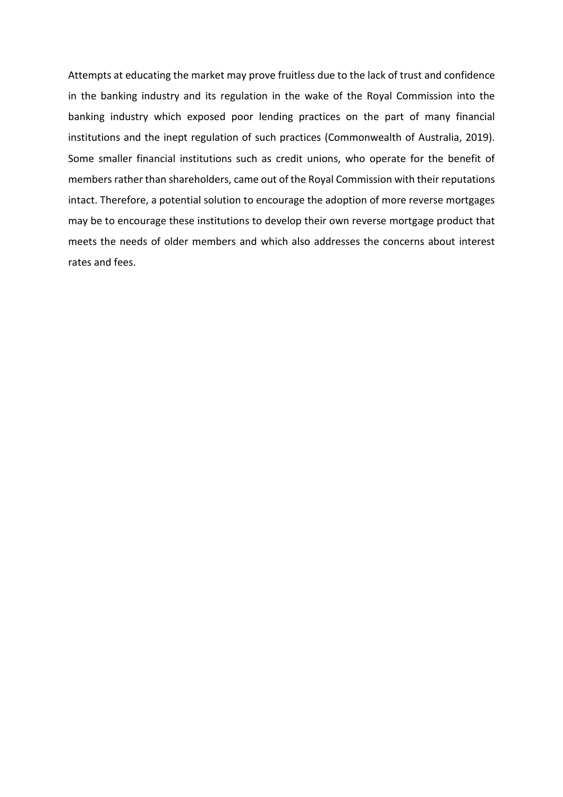Attempts at educating the market may prove fruitless due to the lack of trust and confidence in the banking industry and its regulation in the wake of the Royal Commission into the banking industry which exposed poor lending practices on the part of many financial institutions and the inept regulation of such practices (Commonwealth of Australia, 2019). Some smaller financial institutions such as credit unions, who operate for the benefit of members rather than shareholders, came out of the Royal Commission with their reputations intact. Therefore, a potential solution to encourage the adoption of more reverse mortgages may be to encourage these institutions to develop their own reverse mortgage product that meets the needs of older members and which also addresses the concerns about interest rates and fees.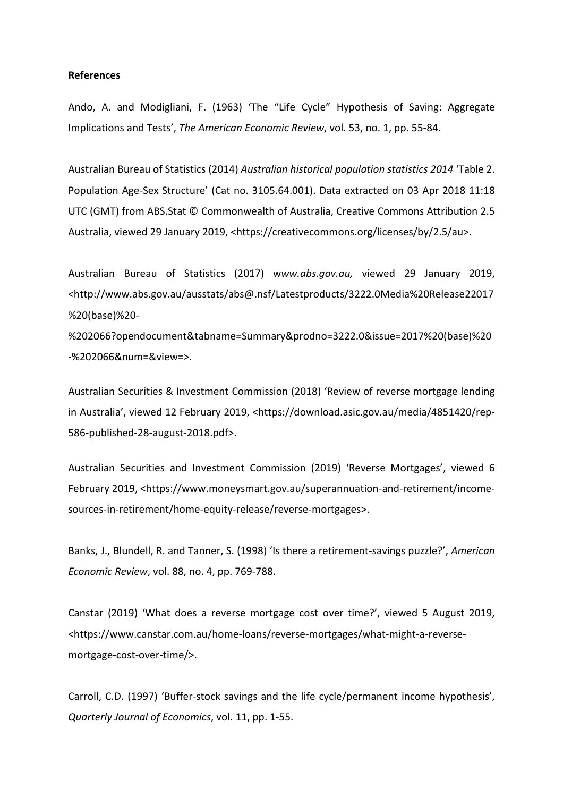### **References**

Ando, A. and Modigliani, F. (1963) 'The "Life Cycle" Hypothesis of Saving: Aggregate Implications and Tests', *The American Economic Review*, vol. 53, no. 1, pp. 55-84.

Australian Bureau of Statistics (2014) *Australian historical population statistics 2014* 'Table 2. Population Age-Sex Structure' (Cat no. 3105.64.001). Data extracted on 03 Apr 2018 11:18 UTC (GMT) from ABS.Stat © Commonwealth of Australia, Creative Commons Attribution 2.5 Australia, viewed 29 January 2019, <https://creativecommons.org/licenses/by/2.5/au>.

Australian Bureau of Statistics (2017) w*ww.abs.gov.au,* viewed 29 January 2019, <http://www.abs.gov.au/ausstats/abs@.nsf/Latestproducts/3222.0Media%20Release22017 %20(base)%20-

%202066?opendocument&tabname=Summary&prodno=3222.0&issue=2017%20(base)%20 -%202066&num=&view=>.

Australian Securities & Investment Commission (2018) 'Review of reverse mortgage lending in Australia', viewed 12 February 2019, <https://download.asic.gov.au/media/4851420/rep-586-published-28-august-2018.pdf>.

Australian Securities and Investment Commission (2019) 'Reverse Mortgages', viewed 6 February 2019, <https://www.moneysmart.gov.au/superannuation-and-retirement/incomesources-in-retirement/home-equity-release/reverse-mortgages>.

Banks, J., Blundell, R. and Tanner, S. (1998) 'Is there a retirement-savings puzzle?', *American Economic Review*, vol. 88, no. 4, pp. 769-788.

Canstar (2019) 'What does a reverse mortgage cost over time?', viewed 5 August 2019, <https://www.canstar.com.au/home-loans/reverse-mortgages/what-might-a-reversemortgage-cost-over-time/>.

Carroll, C.D. (1997) 'Buffer-stock savings and the life cycle/permanent income hypothesis', *Quarterly Journal of Economics*, vol. 11, pp. 1-55.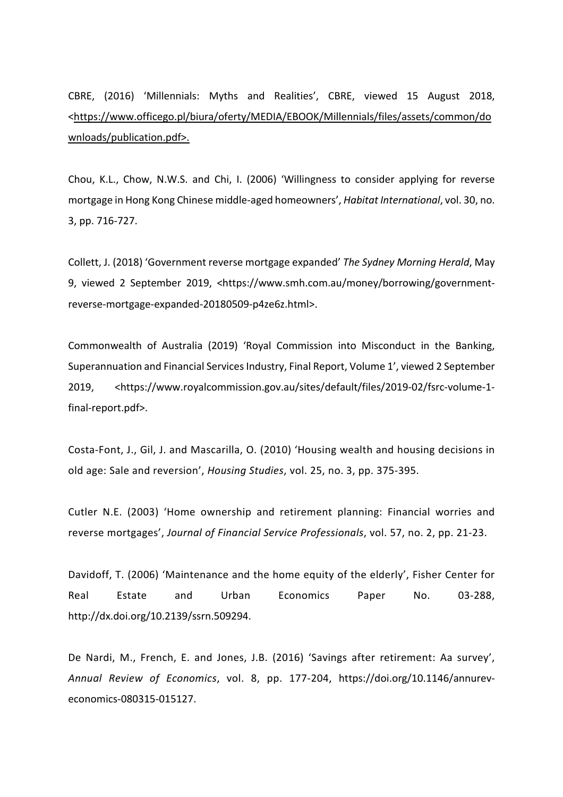CBRE, (2016) 'Millennials: Myths and Realities', CBRE, viewed 15 August 2018, <https://www.officego.pl/biura/oferty/MEDIA/EBOOK/Millennials/files/assets/common/do wnloads/publication.pdf>.

Chou, K.L., Chow, N.W.S. and Chi, I. (2006) 'Willingness to consider applying for reverse mortgage in Hong Kong Chinese middle-aged homeowners', *Habitat International*, vol. 30, no. 3, pp. 716-727.

Collett, J. (2018) 'Government reverse mortgage expanded' *The Sydney Morning Herald*, May 9, viewed 2 September 2019, <https://www.smh.com.au/money/borrowing/governmentreverse-mortgage-expanded-20180509-p4ze6z.html>.

Commonwealth of Australia (2019) 'Royal Commission into Misconduct in the Banking, Superannuation and Financial Services Industry, Final Report, Volume 1', viewed 2 September 2019, <https://www.royalcommission.gov.au/sites/default/files/2019-02/fsrc-volume-1 final-report.pdf>.

Costa-Font, J., Gil, J. and Mascarilla, O. (2010) 'Housing wealth and housing decisions in old age: Sale and reversion', *Housing Studies*, vol. 25, no. 3, pp. 375-395.

Cutler N.E. (2003) 'Home ownership and retirement planning: Financial worries and reverse mortgages', *Journal of Financial Service Professionals*, vol. 57, no. 2, pp. 21-23.

Davidoff, T. (2006) 'Maintenance and the home equity of the elderly', Fisher Center for Real Estate and Urban Economics Paper No. 03-288, http://dx.doi.org/10.2139/ssrn.509294.

De Nardi, M., French, E. and Jones, J.B. (2016) 'Savings after retirement: Aa survey', *Annual Review of Economics*, vol. 8, pp. 177-204, https://doi.org/10.1146/annureveconomics-080315-015127.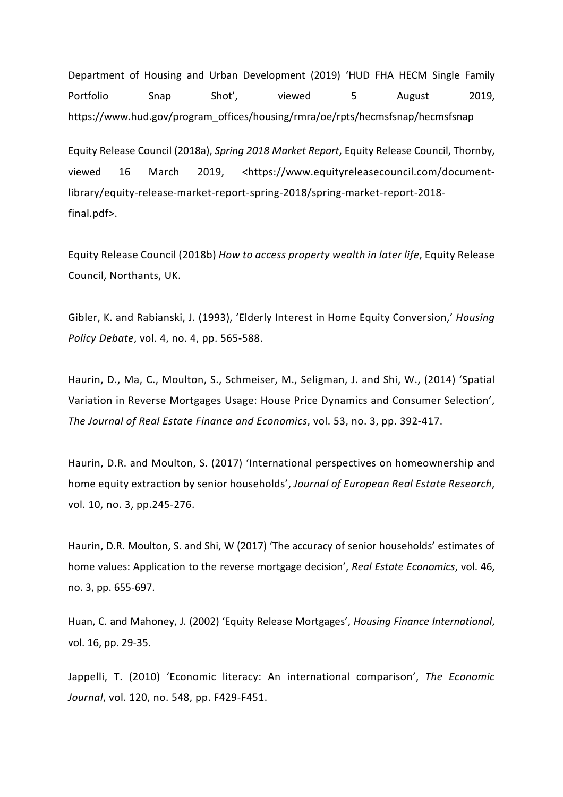Department of Housing and Urban Development (2019) 'HUD FHA HECM Single Family Portfolio Snap Shot', viewed 5 August 2019, https://www.hud.gov/program\_offices/housing/rmra/oe/rpts/hecmsfsnap/hecmsfsnap

Equity Release Council (2018a), *Spring 2018 Market Report*, Equity Release Council, Thornby, viewed 16 March 2019, <https://www.equityreleasecouncil.com/documentlibrary/equity-release-market-report-spring-2018/spring-market-report-2018 final.pdf>.

Equity Release Council (2018b) *How to access property wealth in later life*, Equity Release Council, Northants, UK.

Gibler, K. and Rabianski, J. (1993), 'Elderly Interest in Home Equity Conversion,' *Housing Policy Debate*, vol. 4, no. 4, pp. 565-588.

Haurin, D., Ma, C., Moulton, S., Schmeiser, M., Seligman, J. and Shi, W., (2014) 'Spatial Variation in Reverse Mortgages Usage: House Price Dynamics and Consumer Selection', *The Journal of Real Estate Finance and Economics*, vol. 53, no. 3, pp. 392-417.

Haurin, D.R. and Moulton, S. (2017) 'International perspectives on homeownership and home equity extraction by senior households', *Journal of European Real Estate Research*, vol. 10, no. 3, pp.245-276.

Haurin, D.R. Moulton, S. and Shi, W (2017) 'The accuracy of senior households' estimates of home values: Application to the reverse mortgage decision', *Real Estate Economics*, vol. 46, no. 3, pp. 655-697.

Huan, C. and Mahoney, J. (2002) 'Equity Release Mortgages', *Housing Finance International*, vol. 16, pp. 29-35.

Jappelli, T. (2010) 'Economic literacy: An international comparison', *The Economic Journal*, vol. 120, no. 548, pp. F429-F451.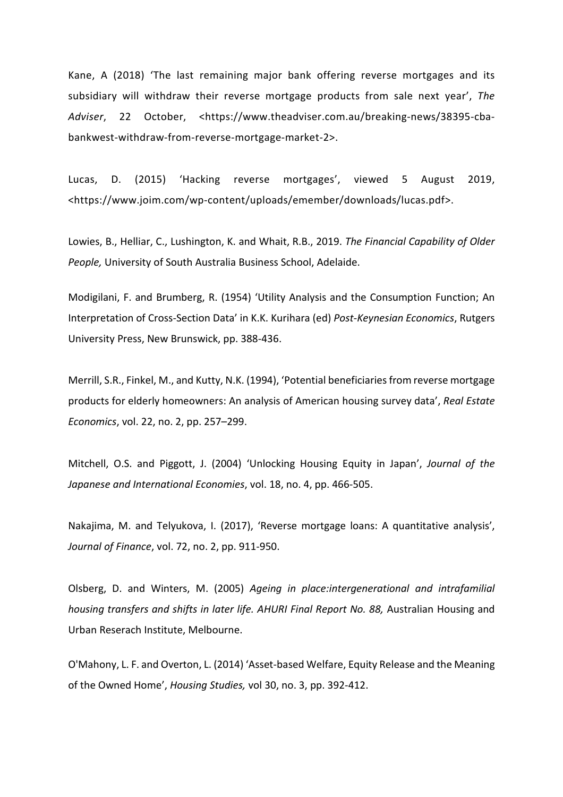Kane, A (2018) 'The last remaining major bank offering reverse mortgages and its subsidiary will withdraw their reverse mortgage products from sale next year', *The Adviser*, 22 October, <https://www.theadviser.com.au/breaking-news/38395-cbabankwest-withdraw-from-reverse-mortgage-market-2>.

Lucas, D. (2015) 'Hacking reverse mortgages', viewed 5 August 2019, <https://www.joim.com/wp-content/uploads/emember/downloads/lucas.pdf>.

Lowies, B., Helliar, C., Lushington, K. and Whait, R.B., 2019. *The Financial Capability of Older People,* University of South Australia Business School, Adelaide.

Modigilani, F. and Brumberg, R. (1954) 'Utility Analysis and the Consumption Function; An Interpretation of Cross-Section Data' in K.K. Kurihara (ed) *Post-Keynesian Economics*, Rutgers University Press, New Brunswick, pp. 388-436.

Merrill, S.R., Finkel, M., and Kutty, N.K. (1994), 'Potential beneficiaries from reverse mortgage products for elderly homeowners: An analysis of American housing survey data', *Real Estate Economics*, vol. 22, no. 2, pp. 257–299.

Mitchell, O.S. and Piggott, J. (2004) 'Unlocking Housing Equity in Japan', *Journal of the Japanese and International Economies*, vol. 18, no. 4, pp. 466-505.

Nakajima, M. and Telyukova, I. (2017), 'Reverse mortgage loans: A quantitative analysis', *Journal of Finance*, vol. 72, no. 2, pp. 911-950.

Olsberg, D. and Winters, M. (2005) *Ageing in place:intergenerational and intrafamilial housing transfers and shifts in later life. AHURI Final Report No. 88, Australian Housing and* Urban Reserach Institute, Melbourne.

O'Mahony, L. F. and Overton, L. (2014) 'Asset-based Welfare, Equity Release and the Meaning of the Owned Home', *Housing Studies,* vol 30, no. 3, pp. 392-412.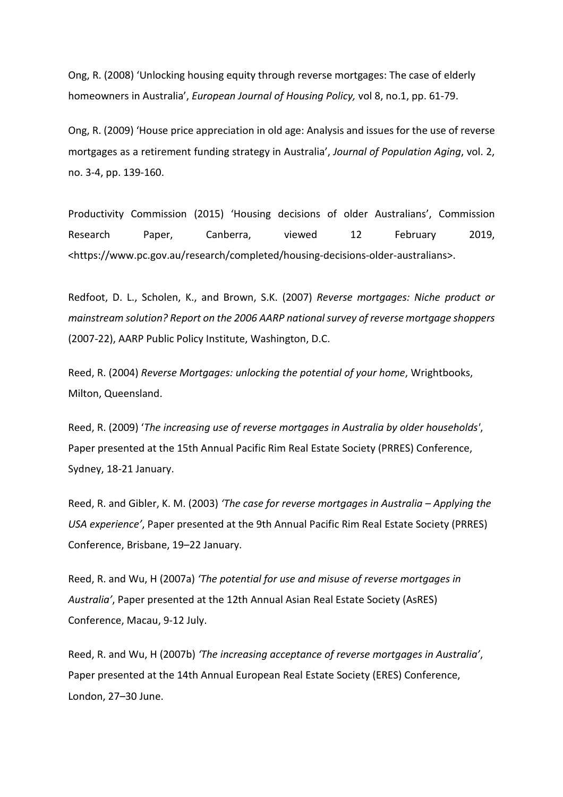Ong, R. (2008) 'Unlocking housing equity through reverse mortgages: The case of elderly homeowners in Australia', *European Journal of Housing Policy,* vol 8, no.1, pp. 61-79.

Ong, R. (2009) 'House price appreciation in old age: Analysis and issues for the use of reverse mortgages as a retirement funding strategy in Australia', *Journal of Population Aging*, vol. 2, no. 3-4, pp. 139-160.

Productivity Commission (2015) 'Housing decisions of older Australians', Commission Research Paper, Canberra, viewed 12 February 2019, <https://www.pc.gov.au/research/completed/housing-decisions-older-australians>.

Redfoot, D. L., Scholen, K., and Brown, S.K. (2007) *Reverse mortgages: Niche product or mainstream solution? Report on the 2006 AARP national survey of reverse mortgage shoppers* (2007-22), AARP Public Policy Institute, Washington, D.C.

Reed, R. (2004) *Reverse Mortgages: unlocking the potential of your home*, Wrightbooks, Milton, Queensland.

Reed, R. (2009) '*The increasing use of reverse mortgages in Australia by older households'*, Paper presented at the 15th Annual Pacific Rim Real Estate Society (PRRES) Conference, Sydney, 18-21 January.

Reed, R. and Gibler, K. M. (2003) *'The case for reverse mortgages in Australia – Applying the USA experience'*, Paper presented at the 9th Annual Pacific Rim Real Estate Society (PRRES) Conference, Brisbane, 19–22 January.

Reed, R. and Wu, H (2007a) *'The potential for use and misuse of reverse mortgages in Australia'*, Paper presented at the 12th Annual Asian Real Estate Society (AsRES) Conference, Macau, 9-12 July.

Reed, R. and Wu, H (2007b) *'The increasing acceptance of reverse mortgages in Australia'*, Paper presented at the 14th Annual European Real Estate Society (ERES) Conference, London, 27–30 June.